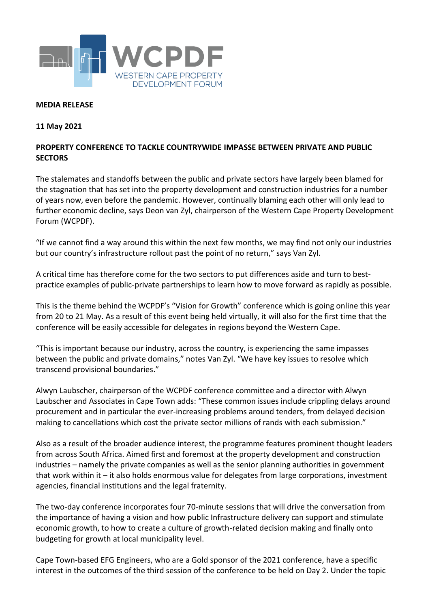

## **MEDIA RELEASE**

## **11 May 2021**

## **PROPERTY CONFERENCE TO TACKLE COUNTRYWIDE IMPASSE BETWEEN PRIVATE AND PUBLIC SECTORS**

The stalemates and standoffs between the public and private sectors have largely been blamed for the stagnation that has set into the property development and construction industries for a number of years now, even before the pandemic. However, continually blaming each other will only lead to further economic decline, says Deon van Zyl, chairperson of the Western Cape Property Development Forum (WCPDF).

"If we cannot find a way around this within the next few months, we may find not only our industries but our country's infrastructure rollout past the point of no return," says Van Zyl.

A critical time has therefore come for the two sectors to put differences aside and turn to bestpractice examples of public-private partnerships to learn how to move forward as rapidly as possible.

This is the theme behind the WCPDF's "Vision for Growth" conference which is going online this year from 20 to 21 May. As a result of this event being held virtually, it will also for the first time that the conference will be easily accessible for delegates in regions beyond the Western Cape.

"This is important because our industry, across the country, is experiencing the same impasses between the public and private domains," notes Van Zyl. "We have key issues to resolve which transcend provisional boundaries."

Alwyn Laubscher, chairperson of the WCPDF conference committee and a director with Alwyn Laubscher and Associates in Cape Town adds: "These common issues include crippling delays around procurement and in particular the ever-increasing problems around tenders, from delayed decision making to cancellations which cost the private sector millions of rands with each submission."

Also as a result of the broader audience interest, the programme features prominent thought leaders from across South Africa. Aimed first and foremost at the property development and construction industries – namely the private companies as well as the senior planning authorities in government that work within it – it also holds enormous value for delegates from large corporations, investment agencies, financial institutions and the legal fraternity.

The two-day conference incorporates four 70-minute sessions that will drive the conversation from the importance of having a vision and how public Infrastructure delivery can support and stimulate economic growth, to how to create a culture of growth-related decision making and finally onto budgeting for growth at local municipality level.

Cape Town-based EFG Engineers, who are a Gold sponsor of the 2021 conference, have a specific interest in the outcomes of the third session of the conference to be held on Day 2. Under the topic